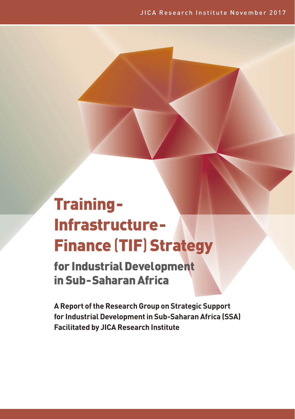# Training-Infrastructure-Finance (TIF) Strategy

for Industrial Development in Sub-Saharan Africa

**A Report of the Research Group on Strategic Support for Industrial Development in Sub-Saharan Africa (SSA) Facilitated by JICA Research Institute**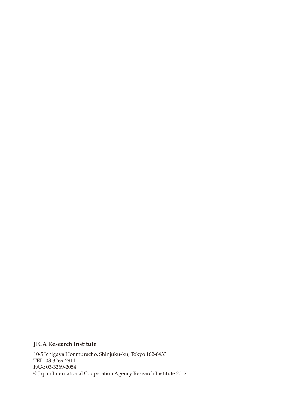## **JICA Research Institute**

10-5 Ichigaya Honmuracho, Shinjuku-ku, Tokyo 162-8433 TEL: 03-3269-2911 FAX: 03-3269-2054 ©Japan International Cooperation Agency Research Institute 2017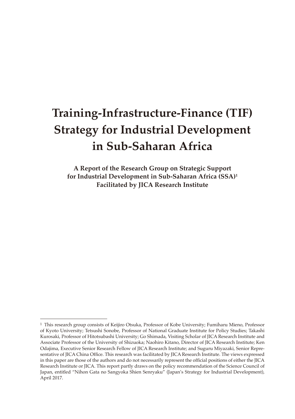# **Training-Infrastructure-Finance (TIF) Strategy for Industrial Development in Sub-Saharan Africa**

**A Report of the Research Group on Strategic Support for Industrial Development in Sub-Saharan Africa (SSA)1 Facilitated by JICA Research Institute**

<sup>1</sup> This research group consists of Keijiro Otsuka, Professor of Kobe University; Fumiharu Mieno, Professor of Kyoto University; Tetsushi Sonobe, Professor of National Graduate Institute for Policy Studies; Takashi Kurosaki, Professor of Hitotsubashi University; Go Shimada, Visiting Scholar of JICA Research Institute and Associate Professor of the University of Shizuoka; Naohiro Kitano, Director of JICA Research Institute; Ken Odajima, Executive Senior Research Fellow of JICA Research Institute; and Suguru Miyazaki, Senior Representative of JICA China Office. This research was facilitated by JICA Research Institute. The views expressed in this paper are those of the authors and do not necessarily represent the official positions of either the JICA Research Institute or JICA. This report partly draws on the policy recommendation of the Science Council of Japan, entitled "Nihon Gata no Sangyoka Shien Senryaku" (Japan's Strategy for Industrial Development), April 2017.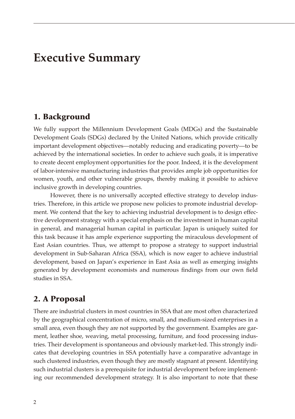## **Executive Summary**

## 1. Background

We fully support the Millennium Development Goals (MDGs) and the Sustainable Development Goals (SDGs) declared by the United Nations, which provide critically important development objectives—notably reducing and eradicating poverty—to be achieved by the international societies. In order to achieve such goals, it is imperative to create decent employment opportunities for the poor. Indeed, it is the development of labor-intensive manufacturing industries that provides ample job opportunities for women, youth, and other vulnerable groups, thereby making it possible to achieve inclusive growth in developing countries.

However, there is no universally accepted effective strategy to develop industries. Therefore, in this article we propose new policies to promote industrial development. We contend that the key to achieving industrial development is to design effective development strategy with a special emphasis on the investment in human capital in general, and managerial human capital in particular. Japan is uniquely suited for this task because it has ample experience supporting the miraculous development of East Asian countries. Thus, we attempt to propose a strategy to support industrial development in Sub-Saharan Africa (SSA), which is now eager to achieve industrial development, based on Japan's experience in East Asia as well as emerging insights generated by development economists and numerous findings from our own field studies in SSA.

## 2. A Proposal

There are industrial clusters in most countries in SSA that are most often characterized by the geographical concentration of micro, small, and medium-sized enterprises in a small area, even though they are not supported by the government. Examples are garment, leather shoe, weaving, metal processing, furniture, and food processing industries. Their development is spontaneous and obviously market-led. This strongly indicates that developing countries in SSA potentially have a comparative advantage in such clustered industries, even though they are mostly stagnant at present. Identifying such industrial clusters is a prerequisite for industrial development before implementing our recommended development strategy. It is also important to note that these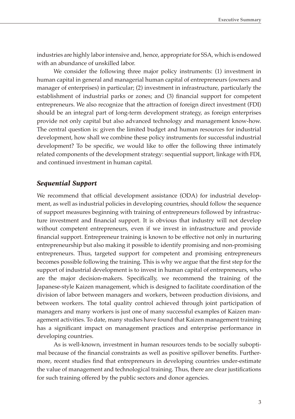industries are highly labor intensive and, hence, appropriate for SSA, which is endowed with an abundance of unskilled labor.

We consider the following three major policy instruments: (1) investment in human capital in general and managerial human capital of entrepreneurs (owners and manager of enterprises) in particular; (2) investment in infrastructure, particularly the establishment of industrial parks or zones; and (3) financial support for competent entrepreneurs. We also recognize that the attraction of foreign direct investment (FDI) should be an integral part of long-term development strategy, as foreign enterprises provide not only capital but also advanced technology and management know-how. The central question is: given the limited budget and human resources for industrial development, how shall we combine these policy instruments for successful industrial development? To be specific, we would like to offer the following three intimately related components of the development strategy: sequential support, linkage with FDI, and continued investment in human capital.

### *Sequential Support*

We recommend that official development assistance (ODA) for industrial development, as well as industrial policies in developing countries, should follow the sequence of support measures beginning with training of entrepreneurs followed by infrastructure investment and financial support. It is obvious that industry will not develop without competent entrepreneurs, even if we invest in infrastructure and provide financial support. Entrepreneur training is known to be effective not only in nurturing entrepreneurship but also making it possible to identify promising and non-promising entrepreneurs. Thus, targeted support for competent and promising entrepreneurs becomes possible following the training. This is why we argue that the first step for the support of industrial development is to invest in human capital of entrepreneurs, who are the major decision-makers. Specifically, we recommend the training of the Japanese-style Kaizen management, which is designed to facilitate coordination of the division of labor between managers and workers, between production divisions, and between workers. The total quality control achieved through joint participation of managers and many workers is just one of many successful examples of Kaizen management activities. To date, many studies have found that Kaizen management training has a significant impact on management practices and enterprise performance in developing countries.

As is well-known, investment in human resources tends to be socially suboptimal because of the financial constraints as well as positive spillover benefits. Furthermore, recent studies find that entrepreneurs in developing countries under-estimate the value of management and technological training. Thus, there are clear justifications for such training offered by the public sectors and donor agencies.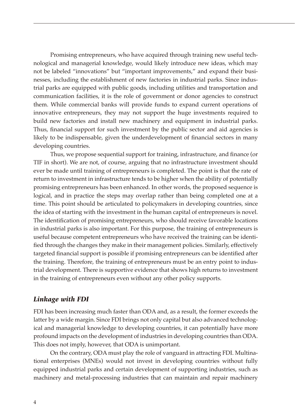Promising entrepreneurs, who have acquired through training new useful technological and managerial knowledge, would likely introduce new ideas, which may not be labeled "innovations" but "important improvements," and expand their businesses, including the establishment of new factories in industrial parks. Since industrial parks are equipped with public goods, including utilities and transportation and communication facilities, it is the role of government or donor agencies to construct them. While commercial banks will provide funds to expand current operations of innovative entrepreneurs, they may not support the huge investments required to build new factories and install new machinery and equipment in industrial parks. Thus, financial support for such investment by the public sector and aid agencies is likely to be indispensable, given the underdevelopment of financial sectors in many developing countries.

Thus, we propose sequential support for training, infrastructure, and finance (or TIF in short). We are not, of course, arguing that no infrastructure investment should ever be made until training of entrepreneurs is completed. The point is that the rate of return to investment in infrastructure tends to be higher when the ability of potentially promising entrepreneurs has been enhanced. In other words, the proposed sequence is logical, and in practice the steps may overlap rather than being completed one at a time. This point should be articulated to policymakers in developing countries, since the idea of starting with the investment in the human capital of entrepreneurs is novel. The identification of promising entrepreneurs, who should receive favorable locations in industrial parks is also important. For this purpose, the training of entrepreneurs is useful because competent entrepreneurs who have received the training can be identified through the changes they make in their management policies. Similarly, effectively targeted financial support is possible if promising entrepreneurs can be identified after the training. Therefore, the training of entrepreneurs must be an entry point to industrial development. There is supportive evidence that shows high returns to investment in the training of entrepreneurs even without any other policy supports.

### *Linkage with FDI*

FDI has been increasing much faster than ODA and, as a result, the former exceeds the latter by a wide margin. Since FDI brings not only capital but also advanced technological and managerial knowledge to developing countries, it can potentially have more profound impacts on the development of industries in developing countries than ODA. This does not imply, however, that ODA is unimportant.

On the contrary, ODA must play the role of vanguard in attracting FDI. Multinational enterprises (MNEs) would not invest in developing countries without fully equipped industrial parks and certain development of supporting industries, such as machinery and metal-processing industries that can maintain and repair machinery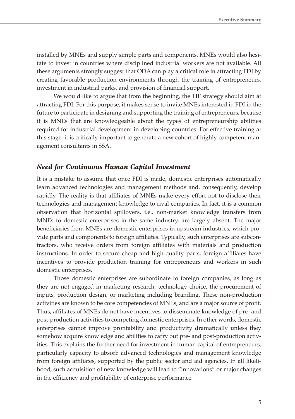installed by MNEs and supply simple parts and components. MNEs would also hesitate to invest in countries where disciplined industrial workers are not available. All these arguments strongly suggest that ODA can play a critical role in attracting FDI by creating favorable production environments through the training of entrepreneurs, investment in industrial parks, and provision of financial support.

We would like to argue that from the beginning, the TIF strategy should aim at attracting FDI. For this purpose, it makes sense to invite MNEs interested in FDI in the future to participate in designing and supporting the training of entrepreneurs, because it is MNEs that are knowledgeable about the types of entrepreneurship abilities required for industrial development in developing countries. For effective training at this stage, it is critically important to generate a new cohort of highly competent management consultants in SSA.

### *Need for Continuous Human Capital Investment*

It is a mistake to assume that once FDI is made, domestic enterprises automatically learn advanced technologies and management methods and, consequently, develop rapidly. The reality is that affiliates of MNEs make every effort not to disclose their technologies and management knowledge to rival companies. In fact, it is a common observation that horizontal spillovers, i.e., non-market knowledge transfers from MNEs to domestic enterprises in the same industry, are largely absent. The major beneficiaries from MNEs are domestic enterprises in upstream industries, which provide parts and components to foreign affiliates. Typically, such enterprises are subcontractors, who receive orders from foreign affiliates with materials and production instructions. In order to secure cheap and high-quality parts, foreign affiliates have incentives to provide production training for entrepreneurs and workers in such domestic enterprises.

Those domestic enterprises are subordinate to foreign companies, as long as they are not engaged in marketing research, technology choice, the procurement of inputs, production design, or marketing including branding. These non-production activities are known to be core competencies of MNEs, and are a major source of profit. Thus, affiliates of MNEs do not have incentives to disseminate knowledge of pre- and post-production activities to competing domestic enterprises. In other words, domestic enterprises cannot improve profitability and productivity dramatically unless they somehow acquire knowledge and abilities to carry out pre- and post-production activities. This explains the further need for investment in human capital of entrepreneurs, particularly capacity to absorb advanced technologies and management knowledge from foreign affiliates, supported by the public sector and aid agencies. In all likelihood, such acquisition of new knowledge will lead to "innovations" or major changes in the efficiency and profitability of enterprise performance.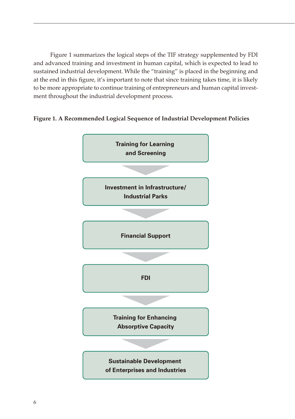Figure 1 summarizes the logical steps of the TIF strategy supplemented by FDI and advanced training and investment in human capital, which is expected to lead to sustained industrial development. While the "training" is placed in the beginning and at the end in this figure, it's important to note that since training takes time, it is likely to be more appropriate to continue training of entrepreneurs and human capital investment throughout the industrial development process.

### **Figure 1. A Recommended Logical Sequence of Industrial Development Policies**

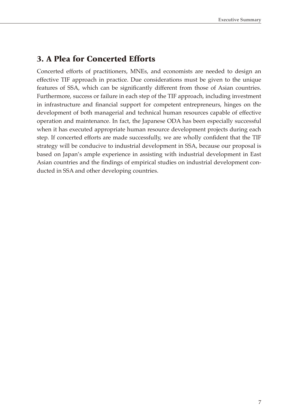## 3. A Plea for Concerted Efforts

Concerted efforts of practitioners, MNEs, and economists are needed to design an effective TIF approach in practice. Due considerations must be given to the unique features of SSA, which can be significantly different from those of Asian countries. Furthermore, success or failure in each step of the TIF approach, including investment in infrastructure and financial support for competent entrepreneurs, hinges on the development of both managerial and technical human resources capable of effective operation and maintenance. In fact, the Japanese ODA has been especially successful when it has executed appropriate human resource development projects during each step. If concerted efforts are made successfully, we are wholly confident that the TIF strategy will be conducive to industrial development in SSA, because our proposal is based on Japan's ample experience in assisting with industrial development in East Asian countries and the findings of empirical studies on industrial development conducted in SSA and other developing countries.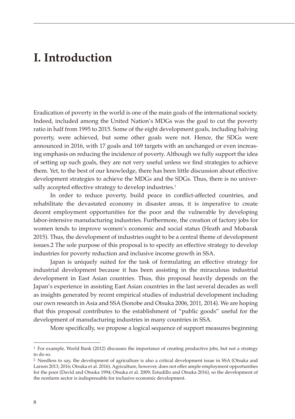## **I. Introduction**

Eradication of poverty in the world is one of the main goals of the international society. Indeed, included among the United Nation's MDGs was the goal to cut the poverty ratio in half from 1995 to 2015. Some of the eight development goals, including halving poverty, were achieved, but some other goals were not. Hence, the SDGs were announced in 2016, with 17 goals and 169 targets with an unchanged or even increasing emphasis on reducing the incidence of poverty. Although we fully support the idea of setting up such goals, they are not very useful unless we find strategies to achieve them. Yet, to the best of our knowledge, there has been little discussion about effective development strategies to achieve the MDGs and the SDGs. Thus, there is no universally accepted effective strategy to develop industries.<sup>1</sup>

In order to reduce poverty, build peace in conflict-affected countries, and rehabilitate the devastated economy in disaster areas, it is imperative to create decent employment opportunities for the poor and the vulnerable by developing labor-intensive manufacturing industries. Furthermore, the creation of factory jobs for women tends to improve women's economic and social status (Heath and Mobarak 2015). Thus, the development of industries ought to be a central theme of development issues.2 The sole purpose of this proposal is to specify an effective strategy to develop industries for poverty reduction and inclusive income growth in SSA.

Japan is uniquely suited for the task of formulating an effective strategy for industrial development because it has been assisting in the miraculous industrial development in East Asian countries. Thus, this proposal heavily depends on the Japan's experience in assisting East Asian countries in the last several decades as well as insights generated by recent empirical studies of industrial development including our own research in Asia and SSA (Sonobe and Otsuka 2006, 2011, 2014). We are hoping that this proposal contributes to the establishment of "public goods" useful for the development of manufacturing industries in many countries in SSA.

More specifically, we propose a logical sequence of support measures beginning

<sup>1</sup> For example, World Bank (2012) discusses the importance of creating productive jobs, but not a strategy to do so.

<sup>2</sup> Needless to say, the development of agriculture is also a critical development issue in SSA (Otsuka and Larson 2013, 2016; Otsuka et al. 2016). Agriculture, however, does not offer ample employment opportunities for the poor (David and Otsuka 1994; Otsuka et al. 2009; Estudillo and Otsuka 2016), so the development of the nonfarm sector is indispensable for inclusive economic development.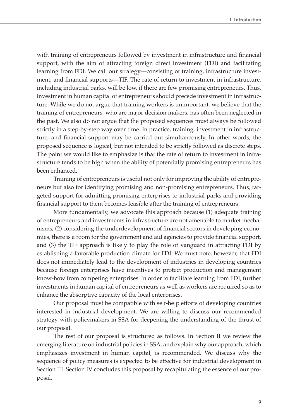with training of entrepreneurs followed by investment in infrastructure and financial support, with the aim of attracting foreign direct investment (FDI) and facilitating learning from FDI. We call our strategy—consisting of training, infrastructure investment, and financial supports—TIF. The rate of return to investment in infrastructure, including industrial parks, will be low, if there are few promising entrepreneurs. Thus, investment in human capital of entrepreneurs should precede investment in infrastructure. While we do not argue that training workers is unimportant, we believe that the training of entrepreneurs, who are major decision makers, has often been neglected in the past. We also do not argue that the proposed sequences must always be followed strictly in a step-by-step way over time. In practice, training, investment in infrastructure, and financial support may be carried out simultaneously. In other words, the proposed sequence is logical, but not intended to be strictly followed as discrete steps. The point we would like to emphasize is that the rate of return to investment in infrastructure tends to be high when the ability of potentially promising entrepreneurs has been enhanced.

Training of entrepreneurs is useful not only for improving the ability of entrepreneurs but also for identifying promising and non-promising entrepreneurs. Thus, targeted support for admitting promising enterprises to industrial parks and providing financial support to them becomes feasible after the training of entrepreneurs.

More fundamentally, we advocate this approach because (1) adequate training of entrepreneurs and investments in infrastructure are not amenable to market mechanisms, (2) considering the underdevelopment of financial sectors in developing economies, there is a room for the government and aid agencies to provide financial support, and (3) the TIF approach is likely to play the role of vanguard in attracting FDI by establishing a favorable production climate for FDI. We must note, however, that FDI does not immediately lead to the development of industries in developing countries because foreign enterprises have incentives to protect production and management know-how from competing enterprises. In order to facilitate learning from FDI, further investments in human capital of entrepreneurs as well as workers are required so as to enhance the absorptive capacity of the local enterprises.

Our proposal must be compatible with self-help efforts of developing countries interested in industrial development. We are willing to discuss our recommended strategy with policymakers in SSA for deepening the understanding of the thrust of our proposal.

The rest of our proposal is structured as follows. In Section II we review the emerging literature on industrial policies in SSA, and explain why our approach, which emphasizes investment in human capital, is recommended. We discuss why the sequence of policy measures is expected to be effective for industrial development in Section III. Section IV concludes this proposal by recapitulating the essence of our proposal.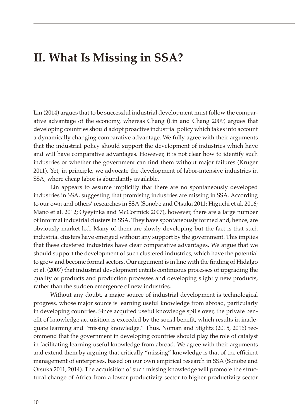# **II. What Is Missing in SSA?**

Lin (2014) argues that to be successful industrial development must follow the comparative advantage of the economy, whereas Chang (Lin and Chang 2009) argues that developing countries should adopt proactive industrial policy which takes into account a dynamically changing comparative advantage. We fully agree with their arguments that the industrial policy should support the development of industries which have and will have comparative advantages. However, it is not clear how to identify such industries or whether the government can find them without major failures (Kruger 2011). Yet, in principle, we advocate the development of labor-intensive industries in SSA, where cheap labor is abundantly available.

Lin appears to assume implicitly that there are no spontaneously developed industries in SSA, suggesting that promising industries are missing in SSA. According to our own and others' researches in SSA (Sonobe and Otsuka 2011; Higuchi et al. 2016; Mano et al. 2012; Oyeyinka and McCormick 2007), however, there are a large number of informal industrial clusters in SSA. They have spontaneously formed and, hence, are obviously market-led. Many of them are slowly developing but the fact is that such industrial clusters have emerged without any support by the government. This implies that these clustered industries have clear comparative advantages. We argue that we should support the development of such clustered industries, which have the potential to grow and become formal sectors. Our argument is in line with the finding of Hidalgo et al. (2007) that industrial development entails continuous processes of upgrading the quality of products and production processes and developing slightly new products, rather than the sudden emergence of new industries.

Without any doubt, a major source of industrial development is technological progress, whose major source is learning useful knowledge from abroad, particularly in developing countries. Since acquired useful knowledge spills over, the private benefit of knowledge acquisition is exceeded by the social benefit, which results in inadequate learning and "missing knowledge." Thus, Noman and Stiglitz (2015, 2016) recommend that the government in developing countries should play the role of catalyst in facilitating learning useful knowledge from abroad. We agree with their arguments and extend them by arguing that critically "missing" knowledge is that of the efficient management of enterprises, based on our own empirical research in SSA (Sonobe and Otsuka 2011, 2014). The acquisition of such missing knowledge will promote the structural change of Africa from a lower productivity sector to higher productivity sector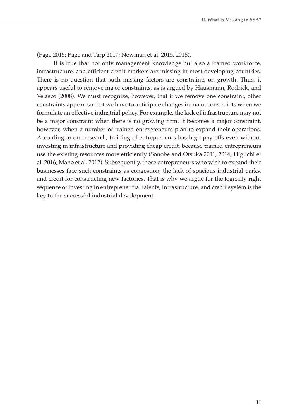(Page 2015; Page and Tarp 2017; Newman et al. 2015, 2016).

It is true that not only management knowledge but also a trained workforce, infrastructure, and efficient credit markets are missing in most developing countries. There is no question that such missing factors are constraints on growth. Thus, it appears useful to remove major constraints, as is argued by Hausmann, Rodrick, and Velasco (2008). We must recognize, however, that if we remove one constraint, other constraints appear, so that we have to anticipate changes in major constraints when we formulate an effective industrial policy. For example, the lack of infrastructure may not be a major constraint when there is no growing firm. It becomes a major constraint, however, when a number of trained entrepreneurs plan to expand their operations. According to our research, training of entrepreneurs has high pay-offs even without investing in infrastructure and providing cheap credit, because trained entrepreneurs use the existing resources more efficiently (Sonobe and Otsuka 2011, 2014; Higuchi et al. 2016; Mano et al. 2012). Subsequently, those entrepreneurs who wish to expand their businesses face such constraints as congestion, the lack of spacious industrial parks, and credit for constructing new factories. That is why we argue for the logically right sequence of investing in entrepreneurial talents, infrastructure, and credit system is the key to the successful industrial development.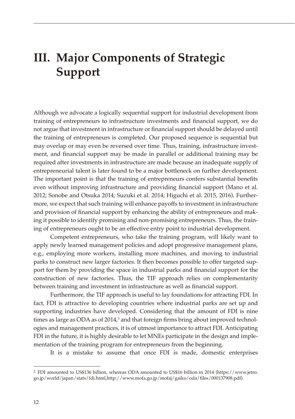# **III. Major Components of Strategic Support**

Although we advocate a logically sequential support for industrial development from training of entrepreneurs to infrastructure investments and financial support, we do not argue that investment in infrastructure or financial support should be delayed until the training of entrepreneurs is completed. Our proposed sequence is sequential but may overlap or may even be reversed over time. Thus, training, infrastructure investment, and financial support may be made in parallel or additional training may be required after investments in infrastructure are made because an inadequate supply of entrepreneurial talent is later found to be a major bottleneck on further development. The important point is that the training of entrepreneurs confers substantial benefits even without improving infrastructure and providing financial support (Mano et al. 2012; Sonobe and Otsuka 2014; Suzuki et al. 2014; Higuchi et al. 2015, 2016). Furthermore, we expect that such training will enhance payoffs to investment in infrastructure and provision of financial support by enhancing the ability of entrepreneurs and making it possible to identify promising and non-promising entrepreneurs. Thus, the training of entrepreneurs ought to be an effective entry point to industrial development.

Competent entrepreneurs, who take the training program, will likely want to apply newly learned management policies and adopt progressive management plans, e.g., employing more workers, installing more machines, and moving to industrial parks to construct new larger factories. It then becomes possible to offer targeted support for them by providing the space in industrial parks and financial support for the construction of new factories. Thus, the TIF approach relies on complementarity between training and investment in infrastructure as well as financial support.

Furthermore, the TIF approach is useful to lay foundations for attracting FDI. In fact, FDI is attractive to developing countries where industrial parks are set up and supporting industries have developed. Considering that the amount of FDI is nine times as large as ODA as of 2014, $^3$  and that foreign firms bring about improved technologies and management practices, it is of utmost importance to attract FDI. Anticipating FDI in the future, it is highly desirable to let MNEs participate in the design and implementation of the training program for entrepreneurs from the beginning.

It is a mistake to assume that once FDI is made, domestic enterprises

<sup>3</sup> FDI amounted to US\$136 billion, whereas ODA amounted to US\$16 billion in 2014 (https://www.jetro. go.jp/world/japan/stats/fdi.html,http://www.mofa.go.jp/mofaj/gaiko/oda/files/000137908.pdf).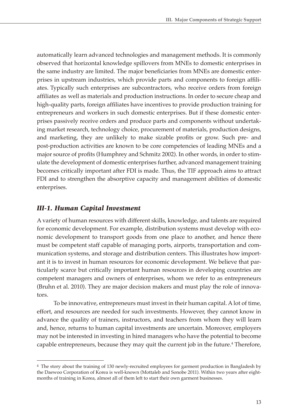automatically learn advanced technologies and management methods. It is commonly observed that horizontal knowledge spillovers from MNEs to domestic enterprises in the same industry are limited. The major beneficiaries from MNEs are domestic enterprises in upstream industries, which provide parts and components to foreign affiliates. Typically such enterprises are subcontractors, who receive orders from foreign affiliates as well as materials and production instructions. In order to secure cheap and high-quality parts, foreign affiliates have incentives to provide production training for entrepreneurs and workers in such domestic enterprises. But if these domestic enterprises passively receive orders and produce parts and components without undertaking market research, technology choice, procurement of materials, production designs, and marketing, they are unlikely to make sizable profits or grow. Such pre- and post-production activities are known to be core competencies of leading MNEs and a major source of profits (Humphrey and Schmitz 2002). In other words, in order to stimulate the development of domestic enterprises further, advanced management training becomes critically important after FDI is made. Thus, the TIF approach aims to attract FDI and to strengthen the absorptive capacity and management abilities of domestic enterprises.

## *III-1. Human Capital Investment*

A variety of human resources with different skills, knowledge, and talents are required for economic development. For example, distribution systems must develop with economic development to transport goods from one place to another, and hence there must be competent staff capable of managing ports, airports, transportation and communication systems, and storage and distribution centers. This illustrates how important it is to invest in human resources for economic development. We believe that particularly scarce but critically important human resources in developing countries are competent managers and owners of enterprises, whom we refer to as entrepreneurs (Bruhn et al. 2010). They are major decision makers and must play the role of innovators.

To be innovative, entrepreneurs must invest in their human capital. A lot of time, effort, and resources are needed for such investments. However, they cannot know in advance the quality of trainers, instructors, and teachers from whom they will learn and, hence, returns to human capital investments are uncertain. Moreover, employers may not be interested in investing in hired managers who have the potential to become capable entrepreneurs, because they may quit the current job in the future.<sup>4</sup> Therefore,

<sup>4</sup> The story about the training of 130 newly-recruited employees for garment production in Bangladesh by the Daewoo Corporation of Korea is well-known (Mottaleb and Sonobe 2011). Within two years after eightmonths of training in Korea, almost all of them left to start their own garment businesses.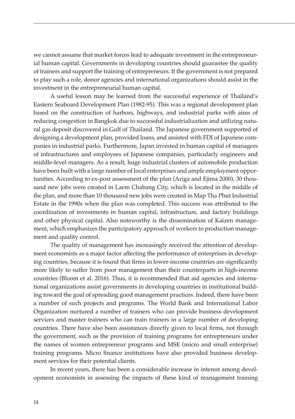we cannot assume that market forces lead to adequate investment in the entrepreneurial human capital. Governments in developing countries should guarantee the quality of trainers and support the training of entrepreneurs. If the government is not prepared to play such a role, donor agencies and international organizations should assist in the investment in the entrepreneurial human capital.

A useful lesson may be learned from the successful experience of Thailand's Eastern Seaboard Development Plan (1982-95). This was a regional development plan based on the construction of harbors, highways, and industrial parks with aims of reducing congestion in Bangkok due to successful industrialization and utilizing natural gas deposit discovered in Gulf of Thailand. The Japanese government supported of designing a development plan, provided loans, and assisted with FDI of Japanese companies in industrial parks. Furthermore, Japan invested in human capital of managers of infrastructures and employees of Japanese companies, particularly engineers and middle-level managers. As a result, huge industrial clusters of automobile production have been built with a large number of local enterprises and ample employment opportunities. According to ex-post assessment of the plan (Ariga and Ejima 2000), 30 thousand new jobs were created in Laem Chabang City, which is located in the middle of the plan, and more than 10 thousand new jobs were created in Map Tha Phut Industrial Estate in the 1990s when the plan was completed. This success was attributed to the coordination of investments in human capital, infrastructure, and factory buildings and other physical capital. Also noteworthy is the dissemination of Kaizen management, which emphasizes the participatory approach of workers to production management and quality control.

The quality of management has increasingly received the attention of development economists as a major factor affecting the performance of enterprises in developing countries, because it is found that firms in lower-income countries are significantly more likely to suffer from poor management than their counterparts in high-income countries (Bloom et al. 2016). Thus, it is recommended that aid agencies and international organizations assist governments in developing countries in institutional building toward the goal of spreading good management practices. Indeed, there have been a number of such projects and programs. The World Bank and International Labor Organization nurtured a number of trainers who can provide business development services and master trainers who can train trainers in a large number of developing countries. There have also been assistances directly given to local firms, not through the government, such as the provision of training programs for entrepreneurs under the names of women entrepreneur programs and MSE (micro and small enterprise) training programs. Micro finance institutions have also provided business development services for their potential clients.

In recent years, there has been a considerable increase in interest among development economists in assessing the impacts of these kind of management training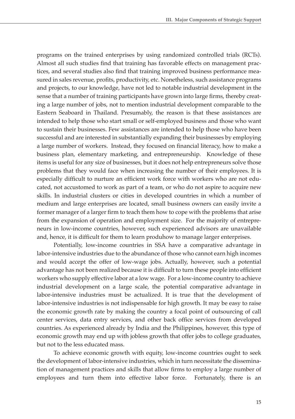programs on the trained enterprises by using randomized controlled trials (RCTs). Almost all such studies find that training has favorable effects on management practices, and several studies also find that training improved business performance measured in sales revenue, profits, productivity, etc. Nonetheless, such assistance programs and projects, to our knowledge, have not led to notable industrial development in the sense that a number of training participants have grown into large firms, thereby creating a large number of jobs, not to mention industrial development comparable to the Eastern Seaboard in Thailand. Presumably, the reason is that these assistances are intended to help those who start small or self-employed business and those who want to sustain their businesses. Few assistances are intended to help those who have been successful and are interested in substantially expanding their businesses by employing a large number of workers. Instead, they focused on financial literacy, how to make a business plan, elementary marketing, and entrepreneurship. Knowledge of these items is useful for any size of businesses, but it does not help entrepreneurs solve those problems that they would face when increasing the number of their employees. It is especially difficult to nurture an efficient work force with workers who are not educated, not accustomed to work as part of a team, or who do not aspire to acquire new skills. In industrial clusters or cities in developed countries in which a number of medium and large enterprises are located, small business owners can easily invite a former manager of a larger firm to teach them how to cope with the problems that arise from the expansion of operation and employment size. For the majority of entrepreneurs in low-income countries, however, such experienced advisors are unavailable and, hence, it is difficult for them to learn produhow to manage larger enterprises.

Potentially, low-income countries in SSA have a comparative advantage in labor-intensive industries due to the abundance of those who cannot earn high incomes and would accept the offer of low-wage jobs. Actually, however, such a potential advantage has not been realized because it is difficult to turn these people into efficient workers who supply effective labor at a low wage. For a low-income country to achieve industrial development on a large scale, the potential comparative advantage in labor-intensive industries must be actualized. It is true that the development of labor-intensive industries is not indispensable for high growth. It may be easy to raise the economic growth rate by making the country a focal point of outsourcing of call center services, data entry services, and other back office services from developed countries. As experienced already by India and the Philippines, however, this type of economic growth may end up with jobless growth that offer jobs to college graduates, but not to the less educated mass.

To achieve economic growth with equity, low-income countries ought to seek the development of labor-intensive industries, which in turn necessitate the dissemination of management practices and skills that allow firms to employ a large number of employees and turn them into effective labor force. Fortunately, there is an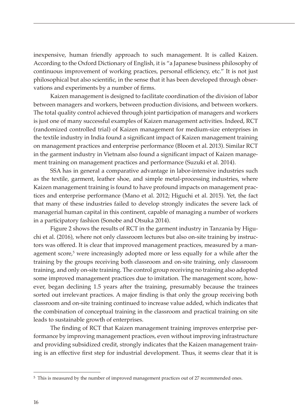inexpensive, human friendly approach to such management. It is called Kaizen. According to the Oxford Dictionary of English, it is "a Japanese business philosophy of continuous improvement of working practices, personal efficiency, etc." It is not just philosophical but also scientific, in the sense that it has been developed through observations and experiments by a number of firms.

Kaizen management is designed to facilitate coordination of the division of labor between managers and workers, between production divisions, and between workers. The total quality control achieved through joint participation of managers and workers is just one of many successful examples of Kaizen management activities. Indeed, RCT (randomized controlled trial) of Kaizen management for medium-size enterprises in the textile industry in India found a significant impact of Kaizen management training on management practices and enterprise performance (Bloom et al. 2013). Similar RCT in the garment industry in Vietnam also found a significant impact of Kaizen management training on management practices and performance (Suzuki et al. 2014).

SSA has in general a comparative advantage in labor-intensive industries such as the textile, garment, leather shoe, and simple metal-processing industries, where Kaizen management training is found to have profound impacts on management practices and enterprise performance (Mano et al. 2012; Higuchi et al. 2015). Yet, the fact that many of these industries failed to develop strongly indicates the severe lack of managerial human capital in this continent, capable of managing a number of workers in a participatory fashion (Sonobe and Otsuka 2014).

Figure 2 shows the results of RCT in the garment industry in Tanzania by Higuchi et al. (2016), where not only classroom lectures but also on-site training by instructors was offered. It is clear that improved management practices, measured by a management score,<sup>5</sup> were increasingly adopted more or less equally for a while after the training by the groups receiving both classroom and on-site training, only classroom training, and only on-site training. The control group receiving no training also adopted some improved management practices due to imitation. The management score, however, began declining 1.5 years after the training, presumably because the trainees sorted out irrelevant practices. A major finding is that only the group receiving both classroom and on-site training continued to increase value added, which indicates that the combination of conceptual training in the classroom and practical training on site leads to sustainable growth of enterprises.

The finding of RCT that Kaizen management training improves enterprise performance by improving management practices, even without improving infrastructure and providing subsidized credit, strongly indicates that the Kaizen management training is an effective first step for industrial development. Thus, it seems clear that it is

<sup>5</sup> This is measured by the number of improved management practices out of 27 recommended ones.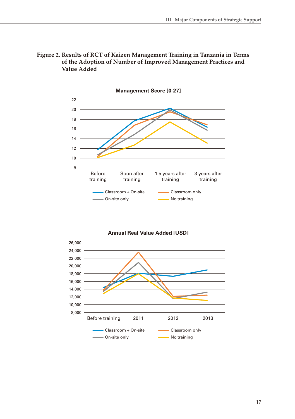



**Annual Real Value Added [USD]**

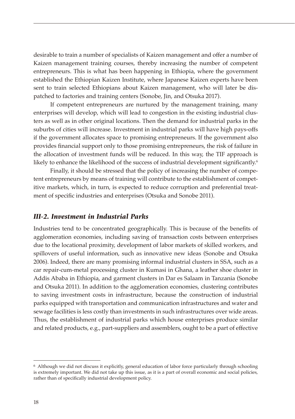desirable to train a number of specialists of Kaizen management and offer a number of Kaizen management training courses, thereby increasing the number of competent entrepreneurs. This is what has been happening in Ethiopia, where the government established the Ethiopian Kaizen Institute, where Japanese Kaizen experts have been sent to train selected Ethiopians about Kaizen management, who will later be dispatched to factories and training centers (Sonobe, Jin, and Otsuka 2017).

If competent entrepreneurs are nurtured by the management training, many enterprises will develop, which will lead to congestion in the existing industrial clusters as well as in other original locations. Then the demand for industrial parks in the suburbs of cities will increase. Investment in industrial parks will have high pays-offs if the government allocates space to promising entrepreneurs. If the government also provides financial support only to those promising entrepreneurs, the risk of failure in the allocation of investment funds will be reduced. In this way, the TIF approach is likely to enhance the likelihood of the success of industrial development significantly.<sup>6</sup>

Finally, it should be stressed that the policy of increasing the number of competent entrepreneurs by means of training will contribute to the establishment of competitive markets, which, in turn, is expected to reduce corruption and preferential treatment of specific industries and enterprises (Otsuka and Sonobe 2011).

### *III-2. Investment in Industrial Parks*

Industries tend to be concentrated geographically. This is because of the benefits of agglomeration economies, including saving of transaction costs between enterprises due to the locational proximity, development of labor markets of skilled workers, and spillovers of useful information, such as innovative new ideas (Sonobe and Otsuka 2006). Indeed, there are many promising informal industrial clusters in SSA, such as a car repair-cum-metal processing cluster in Kumasi in Ghana, a leather shoe cluster in Addis Ababa in Ethiopia, and garment clusters in Dar es Salaam in Tanzania (Sonobe and Otsuka 2011). In addition to the agglomeration economies, clustering contributes to saving investment costs in infrastructure, because the construction of industrial parks equipped with transportation and communication infrastructures and water and sewage facilities is less costly than investments in such infrastructures over wide areas. Thus, the establishment of industrial parks which house enterprises produce similar and related products, e.g., part-suppliers and assemblers, ought to be a part of effective

<sup>6</sup> Although we did not discuss it explicitly, general education of labor force particularly through schooling is extremely important. We did not take up this issue, as it is a part of overall economic and social policies, rather than of specifically industrial development policy.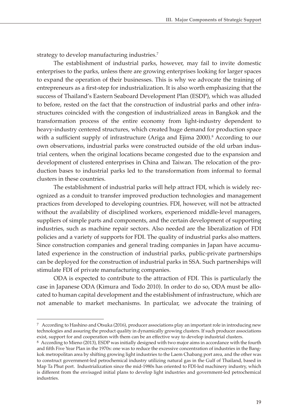strategy to develop manufacturing industries.<sup>7</sup>

The establishment of industrial parks, however, may fail to invite domestic enterprises to the parks, unless there are growing enterprises looking for larger spaces to expand the operation of their businesses. This is why we advocate the training of entrepreneurs as a first-step for industrialization. It is also worth emphasizing that the success of Thailand's Eastern Seaboard Development Plan (ESDP), which was alluded to before, rested on the fact that the construction of industrial parks and other infrastructures coincided with the congestion of industrialized areas in Bangkok and the transformation process of the entire economy from light-industry dependent to heavy-industry centered structures, which created huge demand for production space with a sufficient supply of infrastructure (Ariga and Ejima 2000).<sup>8</sup> According to our own observations, industrial parks were constructed outside of the old urban industrial centers, when the original locations became congested due to the expansion and development of clustered enterprises in China and Taiwan. The relocation of the production bases to industrial parks led to the transformation from informal to formal clusters in these countries.

The establishment of industrial parks will help attract FDI, which is widely recognized as a conduit to transfer improved production technologies and management practices from developed to developing countries. FDI, however, will not be attracted without the availability of disciplined workers, experienced middle-level managers, suppliers of simple parts and components, and the certain development of supporting industries, such as machine repair sectors. Also needed are the liberalization of FDI policies and a variety of supports for FDI. The quality of industrial parks also matters. Since construction companies and general trading companies in Japan have accumulated experience in the construction of industrial parks, public-private partnerships can be deployed for the construction of industrial parks in SSA. Such partnerships will stimulate FDI of private manufacturing companies.

ODA is expected to contribute to the attraction of FDI. This is particularly the case in Japanese ODA (Kimura and Todo 2010). In order to do so, ODA must be allocated to human capital development and the establishment of infrastructure, which are not amenable to market mechanisms. In particular, we advocate the training of

<sup>7</sup> According to Hashino and Otsuka (2016), producer associations play an important role in introducing new technologies and assuring the product quality in dynamically growing clusters. If such producer associations exist, support for and cooperation with them can be an effective way to develop industrial clusters.

<sup>8</sup> According to Mieno (2013), ESDP was initially designed with two major aims in accordance with the fourth and fifth Five Year Plan in the 1970s: one was to reduce the excessive concentration of industries in the Bangkok metropolitan area by shifting growing light industries to the Laem Chabang port area, and the other was to construct government-led petrochemical industry utilizing natural gas in the Gulf of Thailand, based in Map Ta Phut port. Industrialization since the mid-1980s has oriented to FDI-led machinery industry, which is different from the envisaged initial plans to develop light industries and government-led petrochemical industries.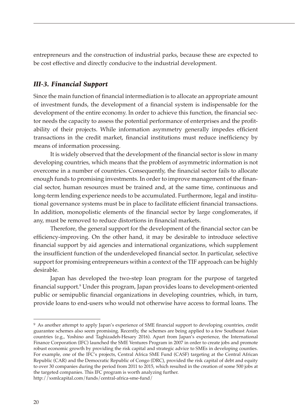entrepreneurs and the construction of industrial parks, because these are expected to be cost effective and directly conducive to the industrial development.

## *III-3. Financial Support*

Since the main function of financial intermediation is to allocate an appropriate amount of investment funds, the development of a financial system is indispensable for the development of the entire economy. In order to achieve this function, the financial sector needs the capacity to assess the potential performance of enterprises and the profitability of their projects. While information asymmetry generally impedes efficient transactions in the credit market, financial institutions must reduce inefficiency by means of information processing.

It is widely observed that the development of the financial sector is slow in many developing countries, which means that the problem of asymmetric information is not overcome in a number of countries. Consequently, the financial sector fails to allocate enough funds to promising investments. In order to improve management of the financial sector, human resources must be trained and, at the same time, continuous and long-term lending experience needs to be accumulated. Furthermore, legal and institutional governance systems must be in place to facilitate efficient financial transactions. In addition, monopolistic elements of the financial sector by large conglomerates, if any, must be removed to reduce distortions in financial markets.

Therefore, the general support for the development of the financial sector can be efficiency-improving. On the other hand, it may be desirable to introduce selective financial support by aid agencies and international organizations, which supplement the insufficient function of the underdeveloped financial sector. In particular, selective support for promising entrepreneurs within a context of the TIF approach can be highly desirable.

Japan has developed the two-step loan program for the purpose of targeted financial support.<sup>9</sup> Under this program, Japan provides loans to development-oriented public or semipublic financial organizations in developing countries, which, in turn, provide loans to end-users who would not otherwise have access to formal loans. The

<sup>9</sup> As another attempt to apply Japan's experience of SME financial support to developing countries, credit guarantee schemes also seem promising. Recently, the schemes are being applied to a few Southeast Asian countries (e.g., Yoshino and Taghizadeh-Hesary 2016). Apart from Japan's experience, the International Finance Corporation (IFC) launched the SME Ventures Program in 2007 in order to create jobs and promote robust economic growth by providing the risk capital and strategic advice to SMEs in developing counties. For example, one of the IFC's projects, Central Africa SME Fund (CASF) targeting at the Central African Republic (CAR) and the Democratic Republic of Congo (DRC), provided the risk capital of debt and equity to over 30 companies during the period from 2011 to 2015, which resulted in the creation of some 500 jobs at the targeted companies. This IFC program is worth analyzing further. http://xsmlcapital.com/funds/central-africa-sme-fund/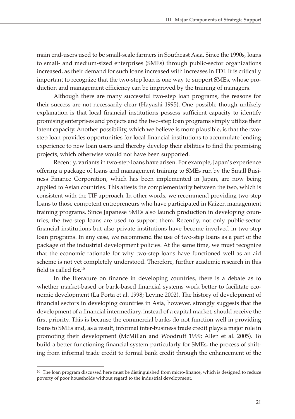main end-users used to be small-scale farmers in Southeast Asia. Since the 1990s, loans to small- and medium-sized enterprises (SMEs) through public-sector organizations increased, as their demand for such loans increased with increases in FDI. It is critically important to recognize that the two-step loan is one way to support SMEs, whose production and management efficiency can be improved by the training of managers.

Although there are many successful two-step loan programs, the reasons for their success are not necessarily clear (Hayashi 1995). One possible though unlikely explanation is that local financial institutions possess sufficient capacity to identify promising enterprises and projects and the two-step loan programs simply utilize their latent capacity. Another possibility, which we believe is more plausible, is that the twostep loan provides opportunities for local financial institutions to accumulate lending experience to new loan users and thereby develop their abilities to find the promising projects, which otherwise would not have been supported.

Recently, variants in two-step loans have arisen. For example, Japan's experience offering a package of loans and management training to SMEs run by the Small Business Finance Corporation, which has been implemented in Japan, are now being applied to Asian countries. This attests the complementarity between the two, which is consistent with the TIF approach. In other words, we recommend providing two-step loans to those competent entrepreneurs who have participated in Kaizen management training programs. Since Japanese SMEs also launch production in developing countries, the two-step loans are used to support them. Recently, not only public-sector financial institutions but also private institutions have become involved in two-step loan programs. In any case, we recommend the use of two-step loans as a part of the package of the industrial development policies. At the same time, we must recognize that the economic rationale for why two-step loans have functioned well as an aid scheme is not yet completely understood. Therefore, further academic research in this field is called for.<sup>10</sup>

In the literature on finance in developing countries, there is a debate as to whether market-based or bank-based financial systems work better to facilitate economic development (La Porta et al. 1998; Levine 2002). The history of development of financial sectors in developing countries in Asia, however, strongly suggests that the development of a financial intermediary, instead of a capital market, should receive the first priority. This is because the commercial banks do not function well in providing loans to SMEs and, as a result, informal inter-business trade credit plays a major role in promoting their development (McMillan and Woodruff 1999; Allen et al. 2005). To build a better functioning financial system particularly for SMEs, the process of shifting from informal trade credit to formal bank credit through the enhancement of the

<sup>10</sup> The loan program discussed here must be distinguished from micro-finance, which is designed to reduce poverty of poor households without regard to the industrial development.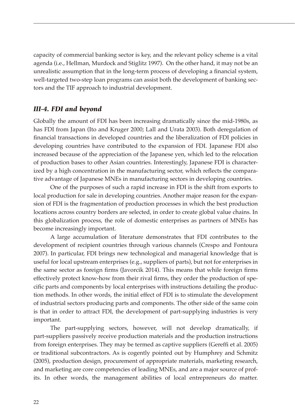capacity of commercial banking sector is key, and the relevant policy scheme is a vital agenda (i.e., Hellman, Murdock and Stiglitz 1997). On the other hand, it may not be an unrealistic assumption that in the long-term process of developing a financial system, well-targeted two-step loan programs can assist both the development of banking sectors and the TIF approach to industrial development.

## *III-4. FDI and beyond*

Globally the amount of FDI has been increasing dramatically since the mid-1980s, as has FDI from Japan (Ito and Kruger 2000; Lall and Urata 2003). Both deregulation of financial transactions in developed countries and the liberalization of FDI policies in developing countries have contributed to the expansion of FDI. Japanese FDI also increased because of the appreciation of the Japanese yen, which led to the relocation of production bases to other Asian countries. Interestingly, Japanese FDI is characterized by a high concentration in the manufacturing sector, which reflects the comparative advantage of Japanese MNEs in manufacturing sectors in developing countries.

One of the purposes of such a rapid increase in FDI is the shift from exports to local production for sale in developing countries. Another major reason for the expansion of FDI is the fragmentation of production processes in which the best production locations across country borders are selected, in order to create global value chains. In this globalization process, the role of domestic enterprises as partners of MNEs has become increasingly important.

A large accumulation of literature demonstrates that FDI contributes to the development of recipient countries through various channels (Crespo and Fontoura 2007). In particular, FDI brings new technological and managerial knowledge that is useful for local upstream enterprises (e.g., suppliers of parts), but not for enterprises in the same sector as foreign firms (Javorcik 2014). This means that while foreign firms effectively protect know-how from their rival firms, they order the production of specific parts and components by local enterprises with instructions detailing the production methods. In other words, the initial effect of FDI is to stimulate the development of industrial sectors producing parts and components. The other side of the same coin is that in order to attract FDI, the development of part-supplying industries is very important.

The part-supplying sectors, however, will not develop dramatically, if part-suppliers passively receive production materials and the production instructions from foreign enterprises. They may be termed as captive suppliers (Gereffi et al. 2005) or traditional subcontractors. As is cogently pointed out by Humphrey and Schmitz (2005), production design, procurement of appropriate materials, marketing research, and marketing are core competencies of leading MNEs, and are a major source of profits. In other words, the management abilities of local entrepreneurs do matter.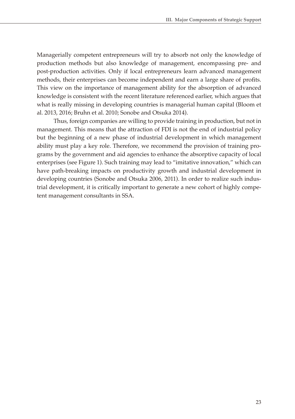Managerially competent entrepreneurs will try to absorb not only the knowledge of production methods but also knowledge of management, encompassing pre- and post-production activities. Only if local entrepreneurs learn advanced management methods, their enterprises can become independent and earn a large share of profits. This view on the importance of management ability for the absorption of advanced knowledge is consistent with the recent literature referenced earlier, which argues that what is really missing in developing countries is managerial human capital (Bloom et al. 2013, 2016; Bruhn et al. 2010; Sonobe and Otsuka 2014).

Thus, foreign companies are willing to provide training in production, but not in management. This means that the attraction of FDI is not the end of industrial policy but the beginning of a new phase of industrial development in which management ability must play a key role. Therefore, we recommend the provision of training programs by the government and aid agencies to enhance the absorptive capacity of local enterprises (see Figure 1). Such training may lead to "imitative innovation," which can have path-breaking impacts on productivity growth and industrial development in developing countries (Sonobe and Otsuka 2006, 2011). In order to realize such industrial development, it is critically important to generate a new cohort of highly competent management consultants in SSA.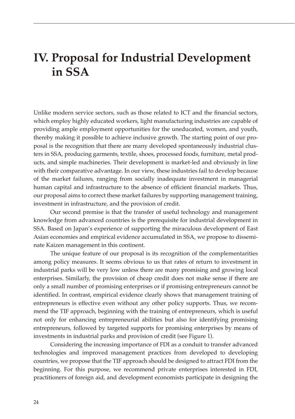# **IV. Proposal for Industrial Development in SSA**

Unlike modern service sectors, such as those related to ICT and the financial sectors, which employ highly educated workers, light manufacturing industries are capable of providing ample employment opportunities for the uneducated, women, and youth, thereby making it possible to achieve inclusive growth. The starting point of our proposal is the recognition that there are many developed spontaneously industrial clusters in SSA, producing garments, textile, shoes, processed foods, furniture, metal products, and simple machineries. Their development is market-led and obviously in line with their comparative advantage. In our view, these industries fail to develop because of the market failures, ranging from socially inadequate investment in managerial human capital and infrastructure to the absence of efficient financial markets. Thus, our proposal aims to correct these market failures by supporting management training, investment in infrastructure, and the provision of credit.

Our second premise is that the transfer of useful technology and management knowledge from advanced countries is the prerequisite for industrial development in SSA. Based on Japan's experience of supporting the miraculous development of East Asian economies and empirical evidence accumulated in SSA, we propose to disseminate Kaizen management in this continent.

The unique feature of our proposal is its recognition of the complementarities among policy measures. It seems obvious to us that rates of return to investment in industrial parks will be very low unless there are many promising and growing local enterprises. Similarly, the provision of cheap credit does not make sense if there are only a small number of promising enterprises or if promising entrepreneurs cannot be identified. In contrast, empirical evidence clearly shows that management training of entrepreneurs is effective even without any other policy supports. Thus, we recommend the TIF approach, beginning with the training of entrepreneurs, which is useful not only for enhancing entrepreneurial abilities but also for identifying promising entrepreneurs, followed by targeted supports for promising enterprises by means of investments in industrial parks and provision of credit (see Figure 1).

Considering the increasing importance of FDI as a conduit to transfer advanced technologies and improved management practices from developed to developing countries, we propose that the TIF approach should be designed to attract FDI from the beginning. For this purpose, we recommend private enterprises interested in FDI, practitioners of foreign aid, and development economists participate in designing the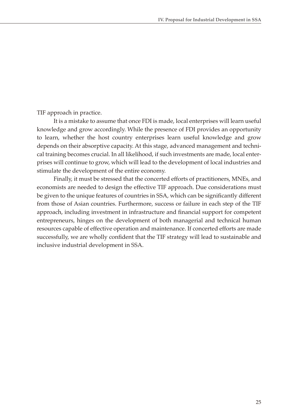TIF approach in practice.

It is a mistake to assume that once FDI is made, local enterprises will learn useful knowledge and grow accordingly. While the presence of FDI provides an opportunity to learn, whether the host country enterprises learn useful knowledge and grow depends on their absorptive capacity. At this stage, advanced management and technical training becomes crucial. In all likelihood, if such investments are made, local enterprises will continue to grow, which will lead to the development of local industries and stimulate the development of the entire economy.

Finally, it must be stressed that the concerted efforts of practitioners, MNEs, and economists are needed to design the effective TIF approach. Due considerations must be given to the unique features of countries in SSA, which can be significantly different from those of Asian countries. Furthermore, success or failure in each step of the TIF approach, including investment in infrastructure and financial support for competent entrepreneurs, hinges on the development of both managerial and technical human resources capable of effective operation and maintenance. If concerted efforts are made successfully, we are wholly confident that the TIF strategy will lead to sustainable and inclusive industrial development in SSA.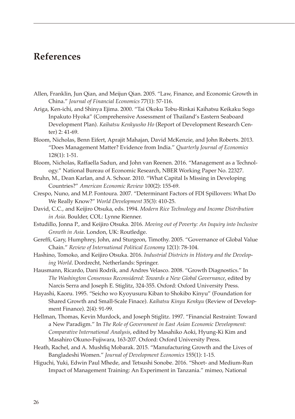## **References**

- Allen, Franklin, Jun Qian, and Meijun Qian. 2005. "Law, Finance, and Economic Growth in China." *Journal of Financial Economics* 77(1): 57-116.
- Ariga, Ken-ichi, and Shinya Ejima. 2000. "Tai Okoku Tobu-Rinkai Kaihatsu Keikaku Sogo Inpakuto Hyoka" (Comprehensive Assessment of Thailand's Eastern Seaboard Development Plan). *Kaihatsu Kenkyusho Ho* (Report of Development Research Center) 2: 41-69.
- Bloom, Nicholas, Benn Eifert, Aprajit Mahajan, David McKenzie, and John Roberts. 2013. "Does Management Matter? Evidence from India." *Quarterly Journal of Economics* 128(1): 1-51.
- Bloom, Nicholas, Raffaella Sadun, and John van Reenen. 2016. "Management as a Technology." National Bureau of Economic Research, NBER Working Paper No. 22327.
- Bruhn, M., Dean Karlan, and A. Schoar. 2010. "What Capital Is Missing in Developing Countries?" *American Economic Review* 100(2): 155-69.
- Crespo, Nuno, and M.P. Fontoura. 2007. "Determinant Factors of FDI Spillovers: What Do We Really Know?" *World Development* 35(3): 410-25.
- David, C.C., and Keijiro Otsuka, eds. 1994. *Modern Rice Technology and Income Distribution in Asia*. Boulder, COL: Lynne Rienner.
- Estudillo, Jonna P., and Keijiro Otsuka. 2016. *Moving out of Poverty: An Inquiry into Inclusive Growth in Asia*. London, UK: Routledge.
- Gereffi, Gary, Humphrey, John, and Sturgeon, Timothy. 2005. "Governance of Global Value Chain." *Review of International Political Economy* 12(1): 78-104.
- Hashino, Tomoko, and Keijiro Otsuka. 2016. *Industrial Districts in History and the Developing World*. Dordrecht, Netherlands: Springer.
- Hausmann, Ricardo, Dani Rodrik, and Andres Velasco. 2008. "Growth Diagnostics." In *The Washington Consensus Reconsidered: Towards a New Global Governance*, edited by Narcis Serra and Joseph E. Stiglitz, 324-355. Oxford: Oxford University Press.
- Hayashi, Kaoru. 1995. "Seicho wo Kyoyusuru Kiban to Shokibo Kinyu" (Foundation for Shared Growth and Small-Scale Finace). *Kaihatsu Kinyu Kenkyu* (Review of Development Finance). 2(4): 91-99.
- Hellman, Thomas, Kevin Murdock, and Joseph Stiglitz. 1997. "Financial Restraint: Toward a New Paradigm." In *The Role of Government in East Asian Economic Development: Comparative International Analysis*, edited by Masahiko Aoki, Hyung-Ki Kim and Masahiro Okuno-Fujiwara, 163-207. Oxford: Oxford University Press.
- Heath, Rachel, and A. Mushfiq Mobarak. 2015. "Manufacturing Growth and the Lives of Bangladeshi Women." *Journal of Development Economics* 155(1): 1-15.
- Higuchi, Yuki, Edwin Paul Mhede, and Tetsushi Sonobe. 2016. "Short- and Medium-Run Impact of Management Training: An Experiment in Tanzania." mimeo, National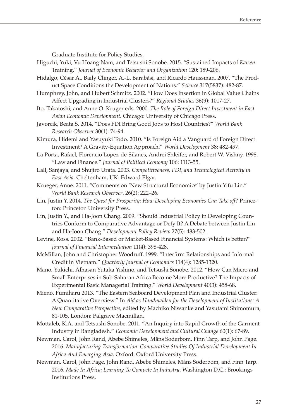Graduate Institute for Policy Studies.

- Higuchi, Yuki, Vu Hoang Nam, and Tetsushi Sonobe. 2015. "Sustained Impacts of *Kaizen* Training." *Journal of Economic Behavior and Organization* 120: 189-206.
- Hidalgo, César A., Baily Clinger, A.-L. Barabási, and Ricardo Haussman. 2007. "The Product Space Conditions the Development of Nations." *Science* 317(5837): 482-87.
- Humphrey, John, and Hubert Schmitz. 2002. "How Does Insertion in Global Value Chains Affect Upgrading in Industrial Clusters?" *Regional Studies* 36(9): 1017-27.
- Ito, Takatoshi, and Anne O. Kruger eds. 2000. *The Role of Foreign Direct Investment in East Asian Economic Development*. Chicago: University of Chicago Press.
- Javorcik, Beata S. 2014. "Does FDI Bring Good Jobs to Host Countries?" *World Bank Research Observer* 30(1): 74-94.
- Kimura, Hidemi and Yasuyuki Todo. 2010. "Is Foreign Aid a Vanguard of Foreign Direct Investment? A Gravity-Equation Approach." *World Development* 38: 482-497.
- La Porta, Rafael, Florencio Lopez-de-Silanes, Andrei Shleifer, and Robert W. Vishny. 1998. "Law and Finance." *Journal of Political Economy* 106: 1113-55.
- Lall, Sanjaya, and Shujiro Urata. 2003. *Competitiveness, FDI, and Technological Activity in East Asia*. Cheltenham, UK: Edward Elgar.
- Krueger, Anne. 2011. "Comments on 'New Structural Economics' by Justin Yifu Lin." *World Bank Research Observer*. 26(2): 222–26.
- Lin, Justin Y. 2014. *The Quest for Prosperity: How Developing Economies Can Take off?* Princeton: Princeton University Press.
- Lin, Justin Y., and Ha-Joon Chang. 2009. "Should Industrial Policy in Developing Countries Conform to Comparative Advantage or Defy It? A Debate between Justin Lin and Ha-Joon Chang." *Development Policy Review* 27(5): 483-502.
- Levine, Ross. 2002. "Bank-Based or Market-Based Financial Systems: Which is better?" *Journal of Financial Intermediation* 11(4): 398-428.
- McMillan, John and Christopher Woodruff. 1999. "Interfirm Relationships and Informal Credit in Vietnam." *Quarterly Journal of Economics* 114(4): 1285-1320.
- Mano, Yukichi, Alhasan Yutaka Yishino, and Tetsushi Sonobe. 2012. "How Can Micro and Small Enterprises in Sub-Saharan Africa Become More Productive? The Impacts of Experimental Basic Managerial Training." *World Development* 40(3): 458-68.
- Mieno, Fumiharu 2013. "The Eastern Seaboard Development Plan and Industrial Cluster: A Quantitative Overview." In *Aid as Handmaiden for the Development of Institutions: A New Comparative Perspective*, edited by Machiko Nissanke and Yasutami Shimomura, 81-105. London: Palgrave Macmillan.
- Mottaleb, K.A. and Tetsushi Sonobe. 2011. "An Inquiry into Rapid Growth of the Garment Industry in Bangladesh." *Economic Development and Cultural Change* 60(1): 67-89.
- Newman, Carol, John Rand, Abebe Shimeles, Måns Soderbom, Finn Tarp, and John Page. 2016. *Manufacturing Transformation: Comparative Studies Of Industrial Development In Africa And Emerging Asia*. Oxford: Oxford University Press.
- Newman, Carol, John Page, John Rand, Abebe Shimeles, Måns Soderbom, and Finn Tarp. 2016. *Made In Africa: Learning To Compete In Industry*. Washington D.C.: Brookings Institutions Press,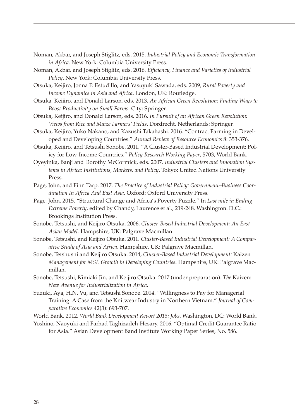- Noman, Akbar, and Joseph Stiglitz, eds. 2015. *Industrial Policy and Economic Transformation in Africa*. New York: Columbia University Press.
- Noman, Akbar, and Joseph Stiglitz, eds. 2016. *Efficiency, Finance and Varieties of Industrial Policy*. New York: Columbia University Press.
- Otsuka, Keijiro, Jonna P. Estudillo, and Yasuyuki Sawada, eds. 2009, *Rural Poverty and Income Dynamics in Asia and Africa*. London, UK: Routledge.
- Otsuka, Keijiro, and Donald Larson, eds. 2013. *An African Green Revolution: Finding Ways to Boost Productivity on Small Farms*. City: Springer.
- Otsuka, Keijiro, and Donald Larson, eds. 2016. *In Pursuit of an African Green Revolution: Views from Rice and Maize Farmers' Fields*. Dordrecht, Netherlands: Springer.
- Otsuka, Keijiro, Yuko Nakano, and Kazushi Takahashi. 2016. "Contract Farming in Developed and Developing Countries." *Annual Review of Resource Economics* 8: 353-376.
- Otsuka, Keijiro, and Tetsushi Sonobe. 2011. "A Cluster-Based Industrial Development: Policy for Low-Income Countries." *Policy Research Working Paper*, 5703, World Bank.
- Oyeyinka, Banji and Dorothy McCormick, eds. 2007. *Industrial Clusters and Innovation Systems in Africa: Institutions, Markets, and Policy*. Tokyo: United Nations University Press.
- Page, John, and Finn Tarp. 2017. *The Practice of Industrial Policy: Government–Business Coordination In Africa And East Asia*. Oxford: Oxford University Press.
- Page, John. 2015. "Structural Change and Africa's Poverty Puzzle." In *Last mile in Ending Extreme Poverty*, edited by Chandy, Laurence et al., 219-248. Washington. D.C.: Brookings Institution Press.
- Sonobe, Tetsushi, and Keijiro Otsuka. 2006. *Cluster-Based Industrial Development: An East Asian Model*. Hampshire, UK: Palgrave Macmillan.
- Sonobe, Tetsushi, and Keijiro Otsuka. 2011. *Cluster-Based Industrial Development: A Comparative Study of Asia and Africa*. Hampshire, UK: Palgrave Macmillan.
- Sonobe, Tetshushi and Keijiro Otsuka. 2014, *Cluster-Based Industrial Development:* Kaizen *Management for MSE Growth in Developing Countries*. Hampshire, UK: Palgrave Macmillan.
- Sonobe, Tetsushi, Kimiaki Jin, and Keijiro Otsuka. 2017 (under preparation). *The* Kaizen: *New Avenue for Industrialization in Africa*.
- Suzuki, Aya, H.N. Vu, and Tetsushi Sonobe. 2014. "Willingness to Pay for Managerial Training: A Case from the Knitwear Industry in Northern Vietnam." *Journal of Comparative Economics* 42(3): 693-707.

World Bank. 2012. *World Bank Development Report 2013: Jobs*. Washington, DC: World Bank.

Yoshino, Naoyuki and Farhad Taghizadeh-Hesary. 2016. "Optimal Credit Guarantee Ratio for Asia." Asian Development Band Institute Working Paper Series, No. 586.